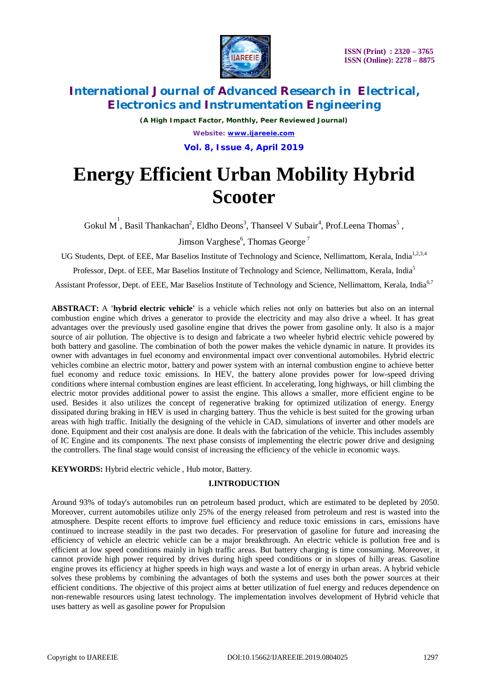

## **International Journal of Advanced Research in Electrical, Electronics and Instrumentation Engineering**

*(A High Impact Factor, Monthly, Peer Reviewed Journal) Website: [www.ijareeie.com](http://www.ijareeie.com)* **Vol. 8, Issue 4, April 2019**

# **Energy Efficient Urban Mobility Hybrid Scooter**

Gokul M<sup>1</sup>, Basil Thankachan<sup>2</sup>, Eldho Deons<sup>3</sup>, Thanseel V Subair<sup>4</sup>, Prof.Leena Thomas<sup>5</sup>,

Jimson Varghese<sup>6</sup>, Thomas George<sup>7</sup>

UG Students, Dept. of EEE, Mar Baselios Institute of Technology and Science, Nellimattom, Kerala, India<sup>1,2,3,4</sup>

Professor, Dept. of EEE, Mar Baselios Institute of Technology and Science, Nellimattom, Kerala, India<sup>5</sup>

Assistant Professor, Dept. of EEE, Mar Baselios Institute of Technology and Science, Nellimattom, Kerala, India<sup>6,7</sup>

**ABSTRACT:** A **'hybrid electric vehicle'** is a vehicle which relies not only on batteries but also on an internal combustion engine which drives a generator to provide the electricity and may also drive a wheel. It has great advantages over the previously used gasoline engine that drives the power from gasoline only. It also is a major source of air pollution. The objective is to design and fabricate a two wheeler hybrid electric vehicle powered by both battery and gasoline. The combination of both the power makes the vehicle dynamic in nature. It provides its owner with advantages in fuel economy and environmental impact over conventional automobiles. Hybrid electric vehicles combine an electric motor, battery and power system with an internal combustion engine to achieve better fuel economy and reduce toxic emissions. In HEV, the battery alone provides power for low-speed driving conditions where internal combustion engines are least efficient. In accelerating, long highways, or hill climbing the electric motor provides additional power to assist the engine. This allows a smaller, more efficient engine to be used. Besides it also utilizes the concept of regenerative braking for optimized utilization of energy. Energy dissipated during braking in HEV is used in charging battery. Thus the vehicle is best suited for the growing urban areas with high traffic. Initially the designing of the vehicle in CAD, simulations of inverter and other models are done. Equipment and their cost analysis are done. It deals with the fabrication of the vehicle. This includes assembly of IC Engine and its components. The next phase consists of implementing the electric power drive and designing the controllers. The final stage would consist of increasing the efficiency of the vehicle in economic ways.

**KEYWORDS:** Hybrid electric vehicle , Hub motor, Battery.

## **I.INTRODUCTION**

Around 93% of today's automobiles run on petroleum based product, which are estimated to be depleted by 2050. Moreover, current automobiles utilize only 25% of the energy released from petroleum and rest is wasted into the atmosphere. Despite recent efforts to improve fuel efficiency and reduce toxic emissions in cars, emissions have continued to increase steadily in the past two decades. For preservation of gasoline for future and increasing the efficiency of vehicle an electric vehicle can be a major breakthrough. An electric vehicle is pollution free and is efficient at low speed conditions mainly in high traffic areas. But battery charging is time consuming. Moreover, it cannot provide high power required by drives during high speed conditions or in slopes of hilly areas. Gasoline engine proves its efficiency at higher speeds in high ways and waste a lot of energy in urban areas. A hybrid vehicle solves these problems by combining the advantages of both the systems and uses both the power sources at their efficient conditions. The objective of this project aims at better utilization of fuel energy and reduces dependence on non-renewable resources using latest technology. The implementation involves development of Hybrid vehicle that uses battery as well as gasoline power for Propulsion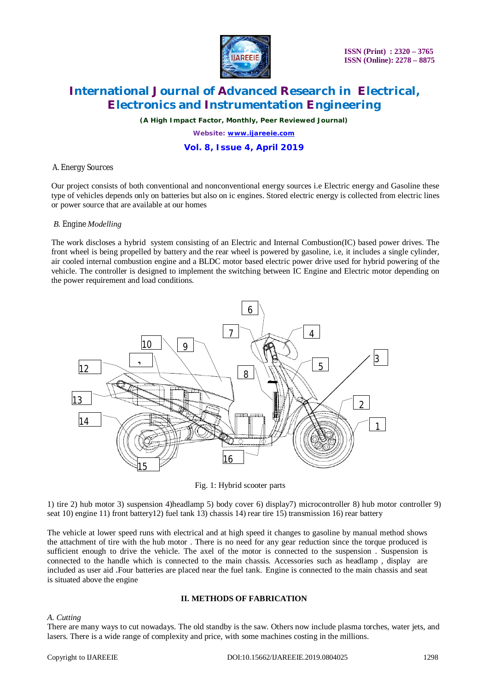

 **ISSN (Print) : 2320 – 3765 ISSN (Online): 2278 – 8875**

## **International Journal of Advanced Research in Electrical, Electronics and Instrumentation Engineering**

*(A High Impact Factor, Monthly, Peer Reviewed Journal)*

*Website: [www.ijareeie.com](http://www.ijareeie.com)*

## **Vol. 8, Issue 4, April 2019**

## *A. Energy Sources*

Our project consists of both conventional and nonconventional energy sources i.e Electric energy and Gasoline these type of vehicles depends only on batteries but also on ic engines. Stored electric energy is collected from electric lines or power source that are available at our homes

## *B. Engine Modelling*

The work discloses a hybrid system consisting of an Electric and Internal Combustion(IC) based power drives. The front wheel is being propelled by battery and the rear wheel is powered by gasoline, i.e, it includes a single cylinder, air cooled internal combustion engine and a BLDC motor based electric power drive used for hybrid powering of the vehicle. The controller is designed to implement the switching between IC Engine and Electric motor depending on the power requirement and load conditions.



Fig. 1: Hybrid scooter parts

1) tire 2) hub motor 3) suspension 4)headlamp 5) body cover 6) display7) microcontroller 8) hub motor controller 9) seat 10) engine 11) front battery12) fuel tank 13) chassis 14) rear tire 15) transmission 16) rear battery

The vehicle at lower speed runs with electrical and at high speed it changes to gasoline by manual method shows the attachment of tire with the hub motor . There is no need for any gear reduction since the torque produced is sufficient enough to drive the vehicle. The axel of the motor is connected to the suspension . Suspension is connected to the handle which is connected to the main chassis. Accessories such as headlamp , display are included as user aid **.**Four batteries are placed near the fuel tank. Engine is connected to the main chassis and seat is situated above the engine

## **II. METHODS OF FABRICATION**

## *A. Cutting*

There are many ways to cut nowadays. The old standby is the saw. Others now include plasma torches, water jets, and lasers. There is a wide range of complexity and price, with some machines costing in the millions.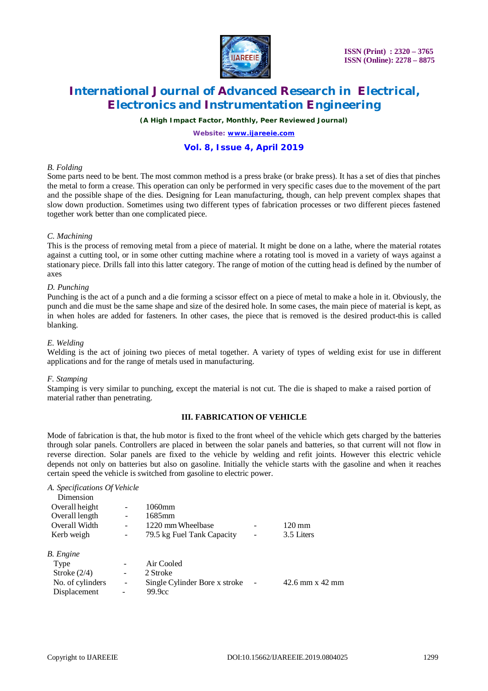

 **ISSN (Print) : 2320 – 3765 ISSN (Online): 2278 – 8875**

## **International Journal of Advanced Research in Electrical, Electronics and Instrumentation Engineering**

*(A High Impact Factor, Monthly, Peer Reviewed Journal)*

*Website: [www.ijareeie.com](http://www.ijareeie.com)*

## **Vol. 8, Issue 4, April 2019**

### *B. Folding*

Some parts need to be bent. The most common method is a press brake (or brake press). It has a set of dies that pinches the metal to form a crease. This operation can only be performed in very specific cases due to the movement of the part and the possible shape of the dies. Designing for Lean manufacturing, though, can help prevent complex shapes that slow down production. Sometimes using two different types of fabrication processes or two different pieces fastened together work better than one complicated piece.

## *C. Machining*

This is the process of removing metal from a piece of material. It might be done on a lathe, where the material rotates against a cutting tool, or in some other cutting machine where a rotating tool is moved in a variety of ways against a stationary piece. Drills fall into this latter category. The range of motion of the cutting head is defined by the number of axes

### *D. Punching*

Punching is the act of a punch and a die forming a scissor effect on a piece of metal to make a hole in it. Obviously, the punch and die must be the same shape and size of the desired hole. In some cases, the main piece of material is kept, as in when holes are added for fasteners. In other cases, the piece that is removed is the desired product-this is called blanking.

### *E. Welding*

Welding is the act of joining two pieces of metal together. A variety of types of welding exist for use in different applications and for the range of metals used in manufacturing.

### *F. Stamping*

Stamping is very similar to punching, except the material is not cut. The die is shaped to make a raised portion of material rather than penetrating.

## **III. FABRICATION OF VEHICLE**

Mode of fabrication is that, the hub motor is fixed to the front wheel of the vehicle which gets charged by the batteries through solar panels. Controllers are placed in between the solar panels and batteries, so that current will not flow in reverse direction. Solar panels are fixed to the vehicle by welding and refit joints. However this electric vehicle depends not only on batteries but also on gasoline. Initially the vehicle starts with the gasoline and when it reaches certain speed the vehicle is switched from gasoline to electric power.

#### *A. Specifications Of Vehicle*  Dimension

| $120 \,\mathrm{mm}$ |
|---------------------|
| 3.5 Liters          |
|                     |
|                     |
|                     |
| $42.6$ mm x $42$ mm |
|                     |
|                     |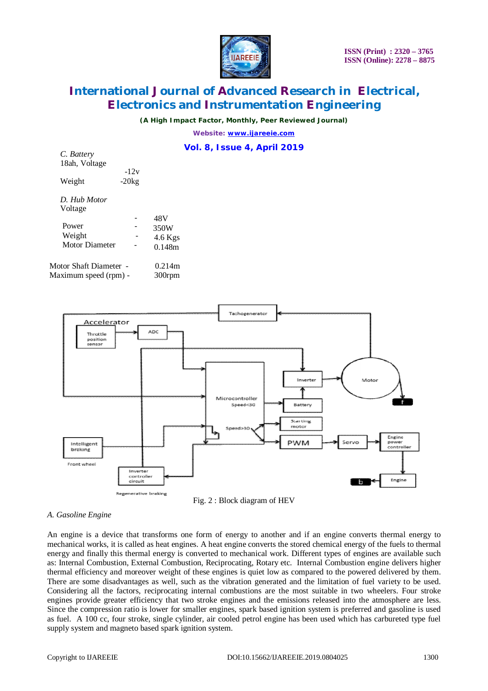

## **International Journal of Advanced Research in Electrical, Electronics and Instrumentation Engineering**

*(A High Impact Factor, Monthly, Peer Reviewed Journal)*

*Website: [www.ijareeie.com](http://www.ijareeie.com)*

## **Vol. 8, Issue 4, April 2019**

| $\mathbf{C}$ . Datter y                                                       |         |         |
|-------------------------------------------------------------------------------|---------|---------|
| 18ah, Voltage                                                                 |         |         |
|                                                                               | -12y    |         |
| Weight                                                                        | $-20kg$ |         |
|                                                                               |         |         |
| D. Hub Motor                                                                  |         |         |
| Voltage                                                                       |         |         |
|                                                                               |         | 48V     |
| Power                                                                         |         | 350W    |
| Weight                                                                        |         | 4.6 Kgs |
| <b>Motor Diameter</b>                                                         |         | 0.148m  |
|                                                                               |         |         |
| $\mathbf{M}$ $\mathbf{M}$ $\mathbf{M}$ $\mathbf{M}$ $\mathbf{N}$ $\mathbf{N}$ |         | 0.011   |

| Motor Shaft Diameter - | 0.214m |
|------------------------|--------|
| Maximum speed (rpm) -  | 300rpm |

*C. Battery*



## Fig. 2 : Block diagram of HEV

## *A. Gasoline Engine*

An engine is a device that transforms one form of energy to another and if an engine converts thermal energy to mechanical works, it is called as heat engines. A heat engine converts the stored chemical energy of the fuels to thermal energy and finally this thermal energy is converted to mechanical work. Different types of engines are available such as: Internal Combustion, External Combustion, Reciprocating, Rotary etc. Internal Combustion engine delivers higher thermal efficiency and moreover weight of these engines is quiet low as compared to the powered delivered by them. There are some disadvantages as well, such as the vibration generated and the limitation of fuel variety to be used. Considering all the factors, reciprocating internal combustions are the most suitable in two wheelers. Four stroke engines provide greater efficiency that two stroke engines and the emissions released into the atmosphere are less. Since the compression ratio is lower for smaller engines, spark based ignition system is preferred and gasoline is used as fuel. A 100 cc, four stroke, single cylinder, air cooled petrol engine has been used which has carbureted type fuel supply system and magneto based spark ignition system.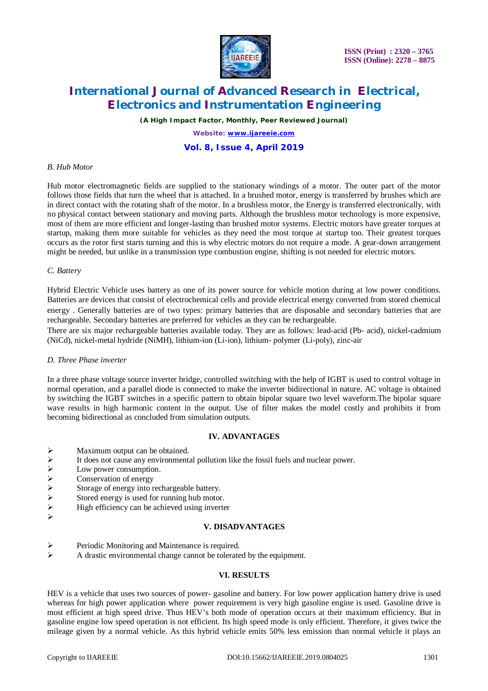

 **ISSN (Print) : 2320 – 3765 ISSN (Online): 2278 – 8875**

## **International Journal of Advanced Research in Electrical, Electronics and Instrumentation Engineering**

*(A High Impact Factor, Monthly, Peer Reviewed Journal)*

*Website: [www.ijareeie.com](http://www.ijareeie.com)* **Vol. 8, Issue 4, April 2019**

## *B. Hub Motor*

Hub motor electromagnetic fields are supplied to the stationary windings of a motor. The outer part of the motor follows those fields that turn the wheel that is attached. In a brushed motor, energy is transferred by brushes which are in direct contact with the rotating shaft of the motor. In a brushless motor, the Energy is transferred electronically, with no physical contact between stationary and moving parts. Although the brushless motor technology is more expensive, most of them are more efficient and longer-lasting than brushed motor systems. Electric motors have greater torques at startup, making them more suitable for vehicles as they need the most torque at startup too. Their greatest torques occurs as the rotor first starts turning and this is why electric motors do not require a mode. A gear-down arrangement might be needed, but unlike in a transmission type combustion engine, shifting is not needed for electric motors.

## *C. Battery*

Hybrid Electric Vehicle uses battery as one of its power source for vehicle motion during at low power conditions. Batteries are devices that consist of electrochemical cells and provide electrical energy converted from stored chemical energy . Generally batteries are of two types: primary batteries that are disposable and secondary batteries that are rechargeable. Secondary batteries are preferred for vehicles as they can be rechargeable.

There are six major rechargeable batteries available today. They are as follows: lead-acid (Pb- acid), nickel-cadmium (NiCd), nickel-metal hydride (NiMH), lithium-ion (Li-ion), lithium- polymer (Li-poly), zinc-air

### *D. Three Phase inverter*

In a three phase voltage source inverter bridge, controlled switching with the help of IGBT is used to control voltage in normal operation, and a parallel diode is connected to make the inverter bidirectional in nature. AC voltage is obtained by switching the IGBT switches in a specific pattern to obtain bipolar square two level waveform.The bipolar square wave results in high harmonic content in the output. Use of filter makes the model costly and prohibits it from becoming bidirectional as concluded from simulation outputs.

## **IV. ADVANTAGES**

- 
- → Maximum output can be obtained.<br>
→ It does not cause any environmenta<br>
→ Low power consumption.<br>
→ Conservation of energy<br>
→ Storage of energy into rechargeable<br>
→ Stored energy is used for running h<br>
→ High efficiency It does not cause any environmental pollution like the fossil fuels and nuclear power.
- Low power consumption.
- Conservation of energy
- Storage of energy into rechargeable battery.
- Stored energy is used for running hub motor.
- High efficiency can be achieved using inverter
- $\blacktriangleright$

### **V. DISADVANTAGES**

- Periodic Monitoring and Maintenance is required.
- A drastic environmental change cannot be tolerated by the equipment.

## **VI. RESULTS**

HEV is a vehicle that uses two sources of power- gasoline and battery. For low power application battery drive is used whereas for high power application where power requirement is very high gasoline engine is used. Gasoline drive is most efficient at high speed drive. Thus HEV's both mode of operation occurs at their maximum efficiency. But in gasoline engine low speed operation is not efficient. Its high speed mode is only efficient. Therefore, it gives twice the mileage given by a normal vehicle. As this hybrid vehicle emits 50% less emission than normal vehicle it plays an